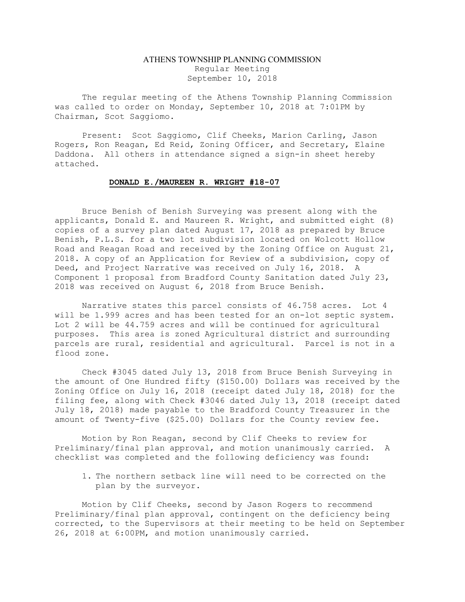## ATHENS TOWNSHIP PLANNING COMMISSION Regular Meeting September 10, 2018

The regular meeting of the Athens Township Planning Commission was called to order on Monday, September 10, 2018 at 7:01PM by Chairman, Scot Saggiomo.

Present: Scot Saggiomo, Clif Cheeks, Marion Carling, Jason Rogers, Ron Reagan, Ed Reid, Zoning Officer, and Secretary, Elaine Daddona. All others in attendance signed a sign-in sheet hereby attached.

## DONALD E./MAUREEN R. WRIGHT #18-07

 Bruce Benish of Benish Surveying was present along with the applicants, Donald E. and Maureen R. Wright, and submitted eight (8) copies of a survey plan dated August 17, 2018 as prepared by Bruce Benish, P.L.S. for a two lot subdivision located on Wolcott Hollow Road and Reagan Road and received by the Zoning Office on August 21, 2018. A copy of an Application for Review of a subdivision, copy of Deed, and Project Narrative was received on July 16, 2018. A Component 1 proposal from Bradford County Sanitation dated July 23, 2018 was received on August 6, 2018 from Bruce Benish.

 Narrative states this parcel consists of 46.758 acres. Lot 4 will be 1.999 acres and has been tested for an on-lot septic system. Lot 2 will be 44.759 acres and will be continued for agricultural purposes. This area is zoned Agricultural district and surrounding parcels are rural, residential and agricultural. Parcel is not in a flood zone.

 Check #3045 dated July 13, 2018 from Bruce Benish Surveying in the amount of One Hundred fifty (\$150.00) Dollars was received by the Zoning Office on July 16, 2018 (receipt dated July 18, 2018) for the filing fee, along with Check #3046 dated July 13, 2018 (receipt dated July 18, 2018) made payable to the Bradford County Treasurer in the amount of Twenty-five (\$25.00) Dollars for the County review fee.

 Motion by Ron Reagan, second by Clif Cheeks to review for Preliminary/final plan approval, and motion unanimously carried. A checklist was completed and the following deficiency was found:

1. The northern setback line will need to be corrected on the plan by the surveyor.

Motion by Clif Cheeks, second by Jason Rogers to recommend Preliminary/final plan approval, contingent on the deficiency being corrected, to the Supervisors at their meeting to be held on September 26, 2018 at 6:00PM, and motion unanimously carried.